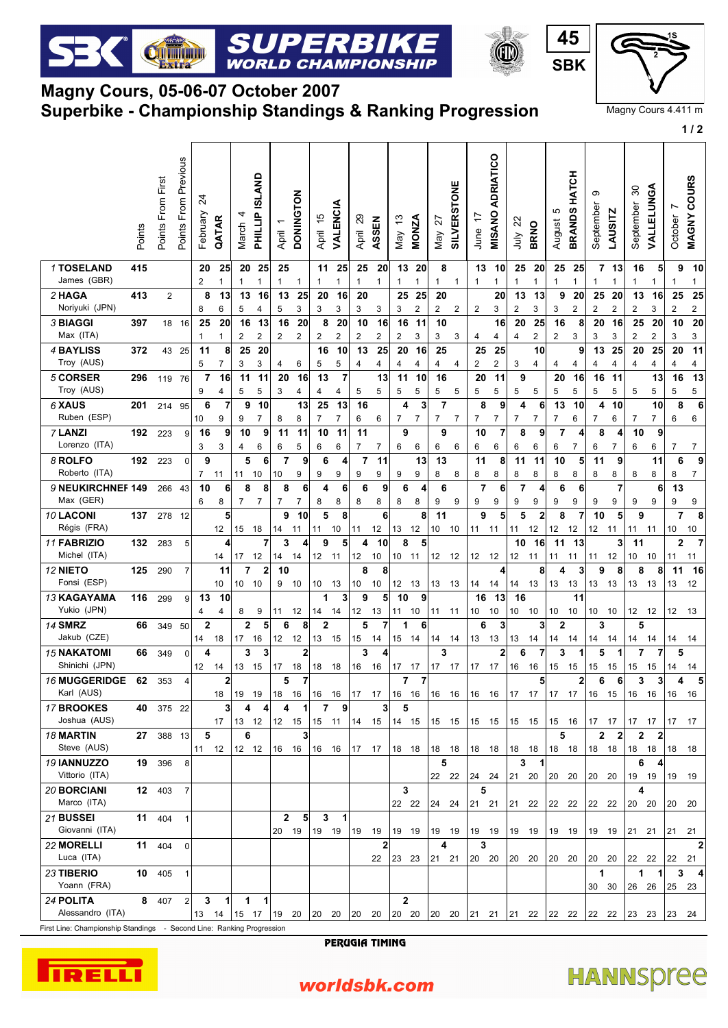## **Superbike - Championship Standings & Ranking Progression Magny Cours, 05-06-07 October 2007**

Cultural

SUPERBI

**WORLD CHAMPIONSHIP** 

| Magny Cours 4.411 m |  |
|---------------------|--|
|                     |  |

**SBK**

**1 / 2**

**45** | C

|                                      | Points | Points From First | Points From Previous | Z<br>February       | QATAR                         | March                   | PHILLIP ISLAND                | April                         | <b>DONINGTON</b>     | $\frac{1}{2}$<br>April  | VALENCIA              | ଅ<br>April                    | ASSEN                | May 13                  | <b>MONZA</b>                  | 72<br>Nay                        | SILVERSTONE    | $\ddot{ }$<br>June  | ADRIATICO<br><b>MISANO</b> | July 22              | <b>BRNO</b>          | ю<br>August            | HATCH<br><b>BRANDS</b> | တ<br>September                | <b>LAUSITZ</b>               | 30<br>September               | <b>VALLELUNGA</b>             | Ľ<br>October         | COURS<br><b>MAGNY</b> |  |
|--------------------------------------|--------|-------------------|----------------------|---------------------|-------------------------------|-------------------------|-------------------------------|-------------------------------|----------------------|-------------------------|-----------------------|-------------------------------|----------------------|-------------------------|-------------------------------|----------------------------------|----------------|---------------------|----------------------------|----------------------|----------------------|------------------------|------------------------|-------------------------------|------------------------------|-------------------------------|-------------------------------|----------------------|-----------------------|--|
| 1 TOSELAND<br>James (GBR)            | 415    |                   |                      | 20<br>2             | 25<br>$\mathbf{1}$            | 20<br>1                 | 25<br>1                       | 25<br>$\mathbf{1}$            | $\mathbf{1}$         | 11<br>$\mathbf{1}$      | 25<br>$\mathbf{1}$    | 25<br>$\mathbf{1}$            | 20<br>$\mathbf{1}$   | 1                       | 13 20<br>1                    | 8<br>1                           | $\mathbf{1}$   | 13<br>1             | 10<br>1                    | 25<br>1              | 20<br>1              | 25<br>1                | 25<br>1                | 1                             | 7 13<br>$\mathbf{1}$         | 16<br>1                       | 5<br>$\mathbf{1}$             | 9<br>$\mathbf{1}$    | 10<br>1               |  |
| 2 HAGA<br>Noriyuki (JPN)             | 413    | $\overline{2}$    |                      | 8<br>8              | 13<br>6                       | 13<br>5                 | 16<br>4                       | 13<br>$\mathbf 5$             | 25<br>3              | 20<br>3                 | 16<br>3               | 20<br>3                       | 3                    | 25<br>3                 | 25<br>$\overline{\mathbf{c}}$ | 20<br>$\overline{c}$             | $\overline{2}$ | 2                   | 20<br>3                    | 13<br>2              | 13<br>3              | 9<br>3                 | 20<br>2                | 25<br>$\overline{\mathbf{c}}$ | 20<br>2                      | 13<br>2                       | 16<br>3                       | 25<br>$\overline{2}$ | 25<br>2               |  |
| 3 BIAGGI<br>Max (ITA)                | 397    | 18                | 16                   | 25<br>$\mathbf{1}$  | 20<br>$\mathbf{1}$            | 16<br>$\mathbf 2$       | 13<br>$\overline{\mathbf{c}}$ | 16<br>$\overline{\mathbf{c}}$ | 20<br>$\overline{2}$ | 8<br>$\overline{c}$     | 20<br>2               | 10<br>$\overline{2}$          | 16<br>$\overline{c}$ | 16<br>$\mathbf 2$       | 11<br>3                       | 10<br>3                          | 3              | 4                   | 16<br>4                    | 20<br>$\overline{4}$ | 25<br>$\overline{2}$ | 16<br>$\boldsymbol{2}$ | 8<br>3                 | 20<br>3                       | 16<br>3                      | 25<br>$\overline{\mathbf{c}}$ | 20<br>$\overline{2}$          | 10<br>3              | 20<br>3               |  |
| 4 BAYLISS<br>Troy (AUS)              | 372    | 43                | 25                   | 11<br>$\,$ 5 $\,$   | 8<br>$\overline{7}$           | 25<br>3                 | 20<br>3                       | 4                             | 6                    | 16<br>5                 | 10<br>$\,$ 5 $\,$     | 13<br>$\overline{\mathbf{4}}$ | 25<br>4              | 20<br>4                 | 16<br>4                       | 25<br>4                          | 4              | 25<br>$\mathbf 2$   | 25<br>2                    | 3                    | 10<br>$\overline{4}$ | 4                      | 9<br>4                 | 13<br>4                       | 25<br>4                      | 20<br>4                       | 25<br>4                       | 20<br>4              | 11<br>4               |  |
| 5 CORSER<br>Troy (AUS)               | 296    | 119               | 76                   | $\overline{7}$<br>9 | 16<br>$\overline{\mathbf{4}}$ | 11<br>5                 | 11<br>5                       | 20<br>3                       | 16<br>$\overline{4}$ | 13<br>4                 | $\overline{7}$<br>4   | 5                             | 13<br>5              | 11<br>5                 | 10<br>5                       | 16<br>5                          | 5              | 20<br>5             | 11<br>5                    | 9<br>5               | 5                    | 20<br>5                | 16<br>5                | 16<br>5                       | 11<br>5                      | 5                             | 13<br>5                       | 16<br>5              | 13<br>5               |  |
| 6 XAUS<br>Ruben (ESP)                | 201    | 214 95            |                      | 6<br>10             | $\overline{7}$<br>9           | 9<br>9                  | 10<br>$\overline{7}$          | 8                             | 13<br>8              | 25<br>$\overline{7}$    | 13<br>$\overline{7}$  | 16<br>6                       | 6                    | 4<br>7                  | 3<br>$\overline{7}$           | $\overline{7}$<br>$\overline{7}$ | 7              | 8<br>7              | 9<br>$\overline{7}$        | 4<br>$\overline{7}$  | 6<br>$\overline{7}$  | 13<br>7                | 10<br>6                | 4<br>$\overline{7}$           | 10<br>6                      | 7                             | 10<br>$\overline{7}$          | 8<br>6               | 6<br>6                |  |
| 7 LANZI<br>Lorenzo (ITA)             | 192    | 223               | 9                    | 16<br>3             | 9<br>3                        | 10<br>4                 | 9<br>6                        | 11<br>6                       | 11<br>5              | 10<br>6                 | 11<br>6               | 11<br>$\overline{7}$          | 7                    | 9<br>6                  | 6                             | 9<br>6                           | 6              | 10<br>6             | 7<br>6                     | 8<br>6               | 9<br>6               | $\overline{7}$<br>6    | 4<br>7                 | 8<br>6                        | 4<br>7                       | 10<br>6                       | 9<br>6                        | 7                    | $\overline{7}$        |  |
| 8 ROLFO<br>Roberto (ITA)             | 192    | 223               | 0                    | 9<br>$\overline{7}$ | 11                            | 5<br>11                 | 6<br>10                       | $\overline{7}$<br>10          | 9<br>9               | 6<br>9                  | $\boldsymbol{4}$<br>9 | $\overline{7}$<br>9           | 11<br>9              | 9                       | 13<br>9                       | 13<br>8                          | 8              | 11<br>8             | 8<br>8                     | 11<br>8              | 11<br>8              | 10<br>8                | 5<br>8                 | 11<br>8                       | 9<br>8                       | 8                             | 11<br>8                       | 6<br>8               | 9<br>7                |  |
| 9 NEUKIRCHNEF 149<br>Max (GER)       |        | 266               | 43                   | 10<br>6             | 6<br>8                        | 8<br>$\overline{7}$     | 8<br>7                        | 8<br>$\overline{7}$           | 6<br>7               | 4<br>8                  | 6<br>8                | 6<br>8                        | 9<br>8               | 6<br>8                  | 4<br>8                        | 6<br>9                           | 9              | $\overline{7}$<br>9 | 6<br>9                     | $\overline{7}$<br>9  | 4<br>9               | 6<br>9                 | 6<br>9                 | 9                             | $\overline{7}$<br>9          | 9                             | 6<br>9                        | 13<br>9              | 9                     |  |
| 10 LACONI<br>Régis (FRA)             | 137    | 278 12            |                      |                     | 5<br>12                       | 15                      | 18                            | 9<br>14                       | 10<br>11             | 5                       | 8<br>10               | 11                            | 6<br>12              | 13                      | 8<br>12                       | 11<br>10                         | 10             | 9<br>11             | 5<br>11                    | 5<br>11              | $\mathbf{2}$<br>12   | 8<br>12                | 7<br>12                | 10<br>12                      | 5<br>11                      | 9<br>11                       | 11                            | $\overline{7}$<br>10 | 8<br>10               |  |
| 11 FABRIZIO<br>Michel (ITA)          | 132    | 283               | 5                    |                     | 14                            | 17                      | $\overline{7}$<br>12          | 3<br>14                       | 4<br>14              | 9<br>12                 | 5<br>11               | 4<br>12                       | 10<br>10             | 8<br>10                 | 5<br>11                       | 12                               | 12             | 12                  | 12                         | 10<br>12             | 16<br>11             | 11<br>11               | 13<br>11               | 11                            | 3 <sup>1</sup><br>12         | 11<br>10                      | 10                            | $\mathbf{2}$<br>11   | -7<br>11              |  |
| 12 NIETO<br>Fonsi (ESP)              | 125    | 290               | $\overline{7}$       |                     | 11<br>10                      | $\overline{7}$<br>10 10 | $\boldsymbol{2}$              | 10<br>9                       | 10                   | 10                      | 13                    | 8<br>10                       | 8<br>10              | 12                      | 13                            | 13                               | - 13           | 14                  | 4<br>14                    | 14                   | 8<br>13              | 4<br>13                | 3<br>13                | 9<br>13                       | 8<br>13                      | 8<br>13                       | 8<br>13                       | 11<br>13             | 16<br>12              |  |
| 13 KAGAYAMA<br>Yukio (JPN)           | 116    | 299               | 9                    | 13<br>4             | 10<br>4                       | 8                       | 9                             | 11                            | 12                   | $\mathbf 1$<br>14       | 3<br>14               | 9<br>12                       | 5<br>13              | 10<br>11                | 9<br>10                       | 11 11                            |                | 16<br>10            | 13<br>10                   | 16<br>10             | 10                   | 10                     | 11<br>10               | 10                            | 10                           | 12 12                         |                               | 12                   | - 13                  |  |
| <b>14 SMRZ</b><br>Jakub (CZE)        | 66     | 349               | 50                   | $\mathbf 2$<br>14   | 18                            | $\mathbf{2}$<br>17      | 5<br>16                       | 6<br>12                       | 8<br>12              | $\overline{2}$<br>13    | 15                    | 5<br>15                       | 7<br>14              | $\mathbf 1$<br>15       | 6<br>14                       | 14                               | 14             | 6<br>13             | 3<br>13                    | 13                   | 3<br>14              | $\overline{2}$<br>14   | 14                     | 3<br>14                       | 14                           | 5<br>14                       | 14                            | 14                   | 14                    |  |
| <b>15 NAKATOMI</b><br>Shinichi (JPN) | 66     | 349               | $\Omega$             | 4<br>12             | 14                            | 3<br>13                 | 3<br>15                       | 17                            | $\mathbf{2}$<br>18   | 18                      | 18                    | 3<br>16                       | 4<br>16              | 17                      | 17                            | 3<br>17                          | 17             | 17                  | 2<br>17                    | 6<br>16              | 7<br>16              | 3<br>15                | 1<br>15                | 5<br>15                       | 1<br>15                      | 7<br>15                       | 7<br>15                       | 5<br>14              | 14                    |  |
| <b>16 MUGGERIDGE</b><br>Karl (AUS)   | 62     | 353               | 4                    |                     | $\overline{\mathbf{2}}$<br>18 | 19 19                   |                               | 5<br>18 16                    | $\overline{7}$       | 16 16                   |                       |                               |                      | $\overline{7}$          | $\overline{\mathbf{r}}$       | 16 16 16 16                      |                | 16 16               |                            | $17 \quad 17$        | 5                    | $17 \quad 17$          | 2                      | 6<br>$ 16 \t15$               | 6                            | 3<br>16                       | 3<br>16                       | 4<br>16 16           | 5                     |  |
| 17 BROOKES<br>Joshua (AUS)           |        | 40 375 22         |                      |                     | 3<br>17                       | 4                       | 13 12 12 15                   | 4                             | 1                    | $\overline{7}$<br>15 11 | 9                     | 14 15                         | 3                    | 5                       |                               | 14 15 15 15                      |                | 15 15               |                            | 15 15                |                      |                        | 15 16 17 17            |                               |                              | 17 17                         |                               | 17 17                |                       |  |
| <b>18 MARTIN</b><br>Steve (AUS)      |        | 27 388 13         |                      | 5<br>11 12          |                               | 6<br>12 12              |                               | 16 16                         | 3                    | 16 16                   |                       | 17 17                         |                      | 18 18                   |                               | 18 18                            |                | 18 18               |                            | 18 18                |                      | 5<br>18 18             |                        | 18 18                         | $\mathbf{2}$<br>$\mathbf{2}$ | $\overline{2}$<br>18          | $\overline{\mathbf{2}}$<br>18 | 18                   | - 18                  |  |
| 19 IANNUZZO<br>Vittorio (ITA)        | 19     | 396               | 8                    |                     |                               |                         |                               |                               |                      |                         |                       |                               |                      |                         |                               | 5<br>22 22                       |                | 24                  | 24                         | 3<br>21 20           | -1                   | 20 20                  |                        | 20 20                         |                              | 6<br>19                       | 4<br>19                       | 19                   | 19                    |  |
| <b>20 BORCIANI</b><br>Marco (ITA)    |        | <b>12</b> 403     | $\overline{7}$       |                     |                               |                         |                               |                               |                      |                         |                       |                               |                      | 3<br>22 22              |                               | 24 24                            |                | 5<br>21 21          |                            | 21 22                |                      | 22 22                  |                        | 22 22                         |                              | 4<br>20 20                    |                               | 20 20                |                       |  |
| 21 BUSSEI<br>Giovanni (ITA)          | 11     | 404               |                      |                     |                               |                         |                               | $\mathbf{2}$<br>20 19         | 5                    | $\mathbf{3}$            | $\mathbf{1}$<br>19 19 | 19 19                         |                      | 19 19                   |                               | 19 19                            |                | 19 19               |                            | 19 19                |                      | 19 19                  |                        | 19 19                         |                              | $ 21 \t21 $                   |                               | $ 21 \t21 $          |                       |  |
| <b>22 MORELLI</b><br>Luca (ITA)      |        | 11 404            | $\mathbf 0$          |                     |                               |                         |                               |                               |                      |                         |                       |                               | 22                   | 23 23                   |                               | 4<br>$ 21 \t21 $                 |                | 3<br>20 20          |                            | 20 20                |                      | 20 20                  |                        | 20 20                         |                              | 22 22                         |                               | 22                   | $\mathbf{2}$<br>-21   |  |
| 23 TIBERIO<br>Yoann (FRA)            | 10     | 405               |                      |                     |                               |                         |                               |                               |                      |                         |                       |                               |                      |                         |                               |                                  |                |                     |                            |                      |                      |                        |                        | 1<br>30 30                    |                              | 1<br>26                       | $\mathbf 1$<br>26             | 3<br>25              | 4<br>-23              |  |
| 24 POLITA<br>Alessandro (ITA)        |        | 8 407             | $\mathbf{2}$         | 3<br>13             | 11<br>14                      | $\mathbf 1$             | $\vert$<br>15 17 19 20        |                               |                      | 20 20                   |                       | 20 20                         |                      | $\overline{2}$<br>20 20 |                               |                                  |                |                     | 20 20  21 21  21 22        |                      |                      |                        | $ 22 \t22 \t22 \t22$   |                               |                              |                               | 23 23  23 24                  |                      |                       |  |

First Line: Championship Standings - Second Line: Ranking Progression

PERUGIA TIMING



## **HANNSpree**